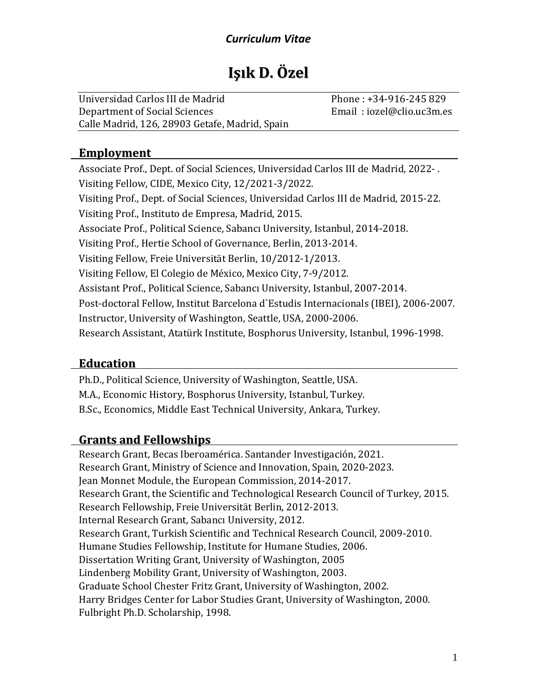# **Işık D. Özel**

Universidad Carlos III de Madrid Phone : +34-916-245 829 Department of Social Sciences Email : iozel@clio.uc3m.es Calle Madrid, 126, 28903 Getafe, Madrid, Spain

## **Employment**

Associate Prof., Dept. of Social Sciences, Universidad Carlos III de Madrid, 2022- . Visiting Fellow, CIDE, Mexico City, 12/2021-3/2022. Visiting Prof., Dept. of Social Sciences, Universidad Carlos III de Madrid, 2015-22. Visiting Prof., Instituto de Empresa, Madrid, 2015. Associate Prof., Political Science, Sabancı University, Istanbul, 2014-2018. Visiting Prof., Hertie School of Governance, Berlin, 2013-2014. Visiting Fellow, Freie Universität Berlin, 10/2012-1/2013. Visiting Fellow, El Colegio de México, Mexico City, 7-9/2012. Assistant Prof., Political Science, Sabancı University, Istanbul, 2007-2014. Post-doctoral Fellow, Institut Barcelona d`Estudis Internacionals (IBEI), 2006-2007. Instructor, University of Washington, Seattle, USA, 2000-2006. Research Assistant, Atatürk Institute, Bosphorus University, Istanbul, 1996-1998.

# **Education**

Ph.D., Political Science, University of Washington, Seattle, USA. M.A., Economic History, Bosphorus University, Istanbul, Turkey. B.Sc., Economics, Middle East Technical University, Ankara, Turkey.

# **Grants and Fellowships**

Research Grant, Becas Iberoamérica. Santander Investigación, 2021. Research Grant, Ministry of Science and Innovation, Spain, 2020-2023. Jean Monnet Module, the European Commission, 2014-2017. Research Grant, the Scientific and Technological Research Council of Turkey, 2015. Research Fellowship, Freie Universität Berlin, 2012-2013. Internal Research Grant, Sabancı University, 2012. Research Grant, Turkish Scientific and Technical Research Council, 2009-2010. Humane Studies Fellowship, Institute for Humane Studies, 2006. Dissertation Writing Grant, University of Washington, 2005 Lindenberg Mobility Grant, University of Washington, 2003. Graduate School Chester Fritz Grant, University of Washington, 2002. Harry Bridges Center for Labor Studies Grant, University of Washington, 2000. Fulbright Ph.D. Scholarship, 1998.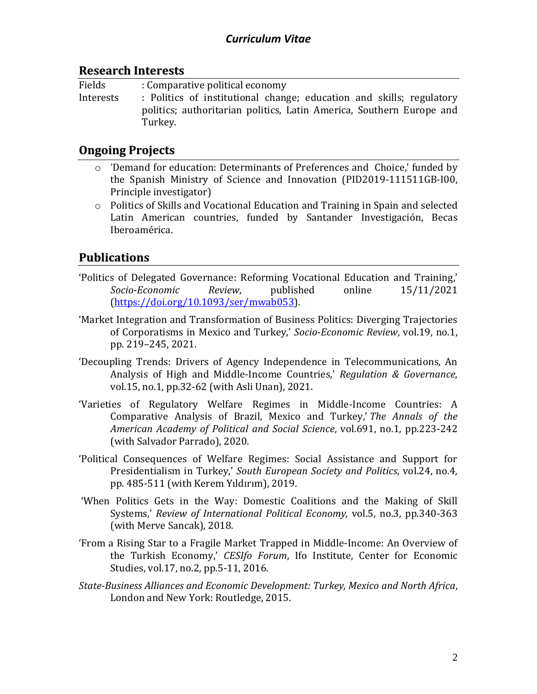#### **Research Interests**

| Fields    | : Comparative political economy                                                                                                                         |
|-----------|---------------------------------------------------------------------------------------------------------------------------------------------------------|
| Interests | : Politics of institutional change; education and skills; regulatory<br>politics; authoritarian politics, Latin America, Southern Europe and<br>Turkey. |

### **Ongoing Projects**

- o 'Demand for education: Determinants of Preferences and Choice,' funded by the Spanish Ministry of Science and Innovation (PID2019-111511GB-I00, Principle investigator)
- $\circ$  Politics of Skills and Vocational Education and Training in Spain and selected Latin American countries, funded by Santander Investigación, Becas Iberoamérica.

# **Publications**

- 'Politics of Delegated Governance: Reforming Vocational Education and Training,' *Socio-Economic Review*, published online 15/11/2021 [\(https://doi.org/10.1093/ser/mwab053\)](https://doi.org/10.1093/ser/mwab053).
- 'Market Integration and Transformation of Business Politics: Diverging Trajectories of Corporatisms in Mexico and Turkey,' *Socio-Economic Review*, vol.19, no.1, pp. 219–245, 2021.
- 'Decoupling Trends: Drivers of Agency Independence in Telecommunications, An Analysis of High and Middle-Income Countries,' *Regulation & Governance*, vol.15, no.1, pp.32-62 (with Asli Unan), 2021.
- 'Varieties of Regulatory Welfare Regimes in Middle-Income Countries: A Comparative Analysis of Brazil, Mexico and Turkey,' *The Annals of the American Academy of Political and Social Science*, vol.691, no.1, pp.223-242 (with Salvador Parrado), 2020.
- 'Political Consequences of Welfare Regimes: Social Assistance and Support for Presidentialism in Turkey,' *South European Society and Politics*, vol.24, no.4, pp. 485-511 (with Kerem Yıldırım), 2019.
- 'When Politics Gets in the Way: Domestic Coalitions and the Making of Skill Systems,' *Review of International Political Economy,* vol.5, no.3, pp.340-363 (with Merve Sancak), 2018.
- 'From a Rising Star to a Fragile Market Trapped in Middle-Income: An Overview of the Turkish Economy,' *CESIfo Forum*, Ifo Institute, Center for Economic Studies, vol.17, no.2, pp.5-11, 2016.
- *State-Business Alliances and Economic Development: Turkey, Mexico and North Africa*, London and New York: Routledge, 2015.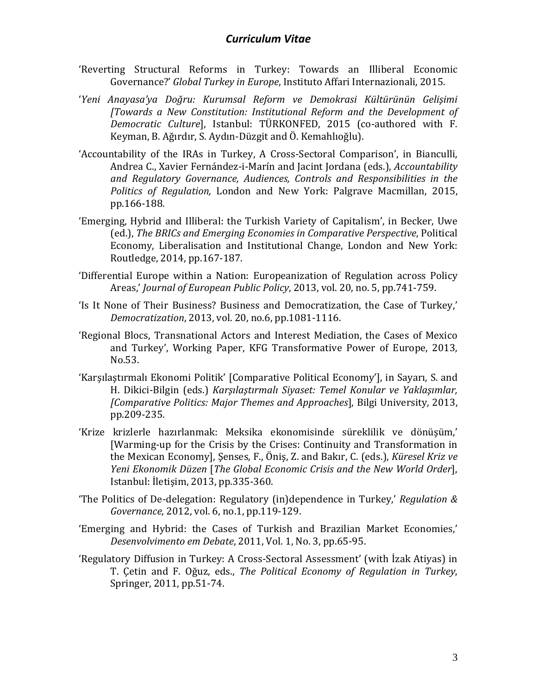- 'Reverting Structural Reforms in Turkey: Towards an Illiberal Economic Governance?' *Global Turkey in Europe*, Instituto Affari Internazionali, 2015.
- '*Yeni Anayasa'ya Doğru: Kurumsal Reform ve Demokrasi Kültürünün Gelişimi [Towards a New Constitution: Institutional Reform and the Development of Democratic Culture*], Istanbul: TÜRKONFED, 2015 (co-authored with F. Keyman, B. Ağırdır, S. Aydın-Düzgit and Ö. Kemahlıoğlu).
- 'Accountability of the IRAs in Turkey, A Cross-Sectoral Comparison', in Bianculli, Andrea C., Xavier [Fernández](http://www.palgrave.com/authors/author-detail/Xavier-Fern%C3%A1ndeziMar%C3%ADn/46016)-i-Marín and [Jacint Jordana](http://www.palgrave.com/authors/author-detail/Jacint-Jordana/46014) (eds.), *Accountability and Regulatory Governance, Audiences, Controls and Responsibilities in the Politics of Regulation,* London and New York: Palgrave Macmillan, 2015, pp.166-188.
- 'Emerging, Hybrid and Illiberal: the Turkish Variety of Capitalism', in Becker, Uwe (ed.), *The BRICs and Emerging Economies in Comparative Perspective*, Political Economy, Liberalisation and Institutional Change, London and New York: Routledge, 2014, pp.167-187.
- 'Differential Europe within a Nation: Europeanization of Regulation across Policy Areas,' *Journal of European Public Policy*, 2013, vol. 20, no. 5, pp.741-759.
- 'Is It None of Their Business? Business and Democratization, the Case of Turkey,' *Democratization*, 2013, vol. 20, no.6, pp.1081-1116.
- 'Regional Blocs, Transnational Actors and Interest Mediation, the Cases of Mexico and Turkey', Working Paper, KFG Transformative Power of Europe, 2013, No.53.
- 'Karşılaştırmalı Ekonomi Politik' [Comparative Political Economy'], in Sayarı, S. and H. Dikici-Bilgin (eds.) *Karşılaştırmalı Siyaset: Temel Konular ve Yaklaşımlar, [Comparative Politics: Major Themes and Approaches*], Bilgi University, 2013, pp.209-235.
- 'Krize krizlerle hazırlanmak: Meksika ekonomisinde süreklilik ve dönüşüm,' [Warming-up for the Crisis by the Crises: Continuity and Transformation in the Mexican Economy], Şenses, F., Öniş, Z. and Bakır, C. (eds.), *Küresel Kriz ve Yeni Ekonomik Düzen* [*The Global Economic Crisis and the New World Order*], Istanbul: İletişim, 2013, pp.335-360.
- 'The Politics of De-delegation: Regulatory (in)dependence in Turkey,' *Regulation & Governance*, 2012, vol. 6, no.1, pp.119-129.
- 'Emerging and Hybrid: the Cases of Turkish and Brazilian Market Economies,' *Desenvolvimento em Debate*, 2011, Vol. 1, No. 3, pp.65-95.
- 'Regulatory Diffusion in Turkey: A Cross-Sectoral Assessment' (with İzak Atiyas) in T. Çetin and F. Oğuz, eds., *The Political Economy of Regulation in Turkey*, Springer, 2011, pp.51-74.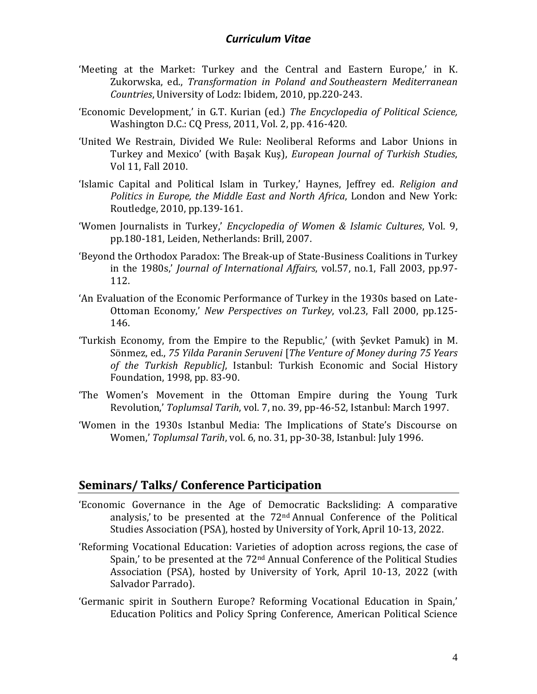- 'Meeting at the Market: Turkey and the Central and Eastern Europe,' in K. Zukorwska, ed., *Transformation in Poland and Southeastern Mediterranean Countries*, University of Lodz: Ibidem, 2010, pp.220-243.
- 'Economic Development,' in G.T. Kurian (ed.) *The Encyclopedia of Political Science,* Washington D.C.: CQ Press, 2011, Vol. 2, pp. 416-420.
- 'United We Restrain, Divided We Rule: Neoliberal Reforms and Labor Unions in Turkey and Mexico' (with Başak Kuş), *European Journal of Turkish Studies*, Vol 11, Fall 2010.
- 'Islamic Capital and Political Islam in Turkey,' Haynes, Jeffrey ed. *Religion and Politics in Europe, the Middle East and North Africa*, London and New York: Routledge, 2010, pp.139-161.
- 'Women Journalists in Turkey,' *Encyclopedia of Women & Islamic Cultures*, Vol. 9, pp.180-181, Leiden, Netherlands: Brill, 2007.
- 'Beyond the Orthodox Paradox: The Break-up of State-Business Coalitions in Turkey in the 1980s,' *Journal of International Affairs*, vol.57, no.1, Fall 2003, pp.97- 112.
- 'An Evaluation of the Economic Performance of Turkey in the 1930s based on Late-Ottoman Economy,' *New Perspectives on Turkey*, vol.23, Fall 2000, pp.125- 146.
- 'Turkish Economy, from the Empire to the Republic,' (with Şevket Pamuk) in M. Sönmez, ed., *75 Yilda Paranin Seruveni* [*The Venture of Money during 75 Years of the Turkish Republic]*, Istanbul: Turkish Economic and Social History Foundation, 1998, pp. 83-90.
- 'The Women's Movement in the Ottoman Empire during the Young Turk Revolution,' *Toplumsal Tarih*, vol. 7, no. 39, pp-46-52, Istanbul: March 1997.
- 'Women in the 1930s Istanbul Media: The Implications of State's Discourse on Women,' *Toplumsal Tarih*, vol. 6, no. 31, pp-30-38, Istanbul: July 1996.

#### **Seminars/ Talks/ Conference Participation**

- 'Economic Governance in the Age of Democratic Backsliding: A comparative analysis,' to be presented at the 72nd Annual Conference of the Political Studies Association (PSA), hosted by University of York, April 10-13, 2022.
- 'Reforming Vocational Education: Varieties of adoption across regions, the case of Spain,' to be presented at the 72nd Annual Conference of the Political Studies Association (PSA), hosted by University of York, April 10-13, 2022 (with Salvador Parrado).
- 'Germanic spirit in Southern Europe? Reforming Vocational Education in Spain,' Education Politics and Policy Spring Conference, American Political Science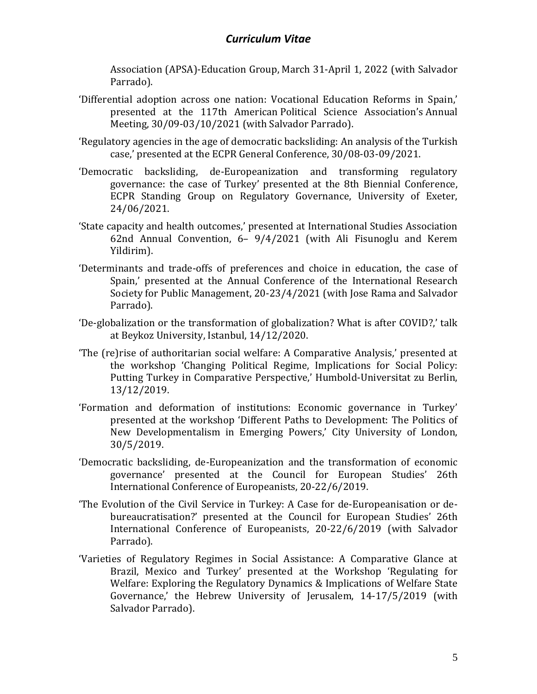Association (APSA)-Education Group, March 31-April 1, 2022 (with Salvador Parrado).

- 'Differential adoption across one nation: Vocational Education Reforms in Spain,' presented at the 117th American Political Science Association's Annual Meeting, 30/09-03/10/2021 (with Salvador Parrado).
- 'Regulatory agencies in the age of democratic backsliding: An analysis of the Turkish case,' presented at the ECPR General Conference, 30/08-03-09/2021.
- 'Democratic backsliding, de-Europeanization and transforming regulatory governance: the case of Turkey' presented at the 8th Biennial Conference, ECPR Standing Group on Regulatory Governance, University of Exeter, 24/06/2021.
- 'State capacity and health outcomes,' presented at International Studies Association 62nd Annual Convention, 6– 9/4/2021 (with Ali Fisunoglu and Kerem Yildirim).
- 'Determinants and trade-offs of preferences and choice in education, the case of Spain,' presented at the Annual Conference of the International Research Society for Public Management, 20-23/4/2021 (with Jose Rama and Salvador Parrado).
- 'De-globalization or the transformation of globalization? What is after COVID?,' talk at Beykoz University, Istanbul, 14/12/2020.
- 'The (re)rise of authoritarian social welfare: A Comparative Analysis,' presented at the workshop 'Changing Political Regime, Implications for Social Policy: Putting Turkey in Comparative Perspective,' Humbold-Universitat zu Berlin, 13/12/2019.
- 'Formation and deformation of institutions: Economic governance in Turkey' presented at the workshop 'Different Paths to Development: The Politics of New Developmentalism in Emerging Powers,' City University of London, 30/5/2019.
- 'Democratic backsliding, de-Europeanization and the transformation of economic governance' presented at the Council for European Studies' 26th International Conference of Europeanists, 20-22/6/2019.
- 'The Evolution of the Civil Service in Turkey: A Case for de-Europeanisation or debureaucratisation?' presented at the Council for European Studies' 26th International Conference of Europeanists, 20-22/6/2019 (with Salvador Parrado).
- 'Varieties of Regulatory Regimes in Social Assistance: A Comparative Glance at Brazil, Mexico and Turkey' presented at the Workshop 'Regulating for Welfare: Exploring the Regulatory Dynamics & Implications of Welfare State Governance,' the Hebrew University of Jerusalem, 14-17/5/2019 (with Salvador Parrado).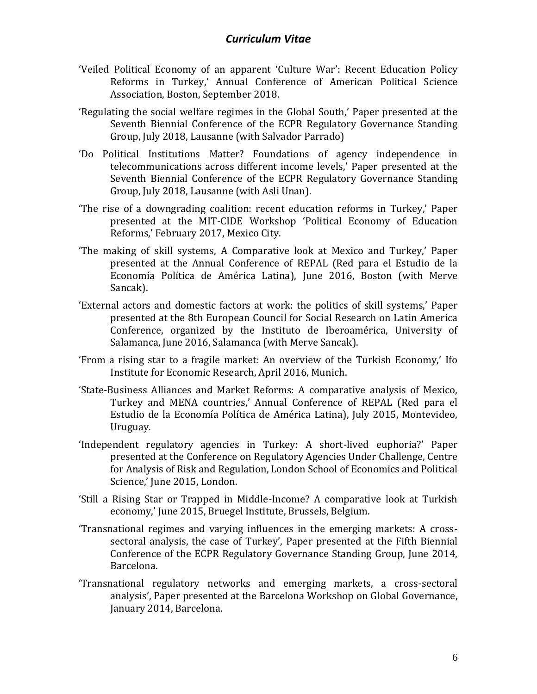- 'Veiled Political Economy of an apparent 'Culture War': Recent Education Policy Reforms in Turkey,' Annual Conference of American Political Science Association, Boston, September 2018.
- 'Regulating the social welfare regimes in the Global South,' Paper presented at the Seventh Biennial Conference of the ECPR Regulatory Governance Standing Group, July 2018, Lausanne (with Salvador Parrado)
- 'Do Political Institutions Matter? Foundations of agency independence in telecommunications across different income levels,' Paper presented at the Seventh Biennial Conference of the ECPR Regulatory Governance Standing Group, July 2018, Lausanne (with Asli Unan).
- 'The rise of a downgrading coalition: recent education reforms in Turkey,' Paper presented at the MIT-CIDE Workshop 'Political Economy of Education Reforms,' February 2017, Mexico City.
- 'The making of skill systems, A Comparative look at Mexico and Turkey,' Paper presented at the Annual Conference of REPAL (Red para el Estudio de la Economía Política de América Latina), June 2016, Boston (with Merve Sancak).
- 'External actors and domestic factors at work: the politics of skill systems,' Paper presented at the 8th European Council for Social Research on Latin America Conference, organized by the Instituto de Iberoamérica, University of Salamanca, June 2016, Salamanca (with Merve Sancak).
- 'From a rising star to a fragile market: An overview of the Turkish Economy,' Ifo Institute for Economic Research, April 2016, Munich.
- 'State-Business Alliances and Market Reforms: A comparative analysis of Mexico, Turkey and MENA countries,' Annual Conference of REPAL (Red para el Estudio de la Economía Política de América Latina), July 2015, Montevideo, Uruguay.
- 'Independent regulatory agencies in Turkey: A short-lived euphoria?' Paper presented at the Conference on Regulatory Agencies Under Challenge, Centre for Analysis of Risk and Regulation, London School of Economics and Political Science,' June 2015, London.
- 'Still a Rising Star or Trapped in Middle-Income? A comparative look at Turkish economy,' June 2015, Bruegel Institute, Brussels, Belgium.
- 'Transnational regimes and varying influences in the emerging markets: A crosssectoral analysis, the case of Turkey', Paper presented at the Fifth Biennial Conference of the ECPR Regulatory Governance Standing Group, June 2014, Barcelona.
- 'Transnational regulatory networks and emerging markets, a cross-sectoral analysis', Paper presented at the Barcelona Workshop on Global Governance, January 2014, Barcelona.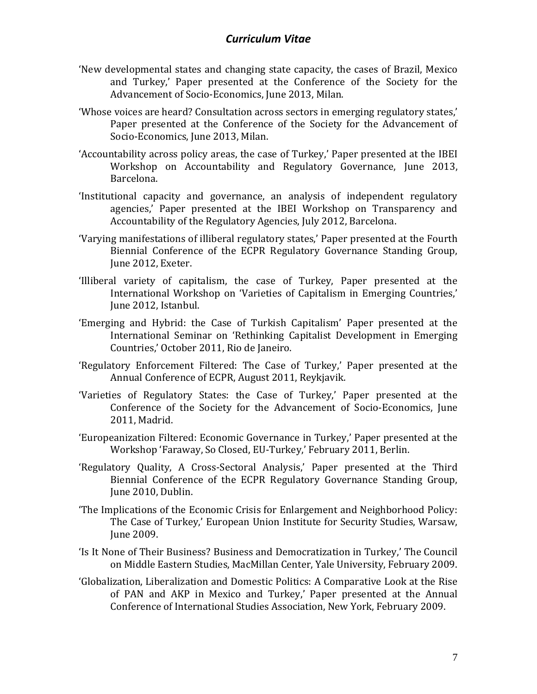- 'New developmental states and changing state capacity, the cases of Brazil, Mexico and Turkey,' Paper presented at the Conference of the Society for the Advancement of Socio-Economics, June 2013, Milan.
- 'Whose voices are heard? Consultation across sectors in emerging regulatory states,' Paper presented at the Conference of the Society for the Advancement of Socio-Economics, June 2013, Milan.
- 'Accountability across policy areas, the case of Turkey,' Paper presented at the IBEI Workshop on Accountability and Regulatory Governance, June 2013, Barcelona.
- 'Institutional capacity and governance, an analysis of independent regulatory agencies,' Paper presented at the IBEI Workshop on Transparency and Accountability of the Regulatory Agencies, July 2012, Barcelona.
- 'Varying manifestations of illiberal regulatory states,' Paper presented at the Fourth Biennial Conference of the ECPR Regulatory Governance Standing Group, June 2012, Exeter.
- 'Illiberal variety of capitalism, the case of Turkey, Paper presented at the International Workshop on 'Varieties of Capitalism in Emerging Countries,' June 2012, Istanbul.
- 'Emerging and Hybrid: the Case of Turkish Capitalism' Paper presented at the International Seminar on 'Rethinking Capitalist Development in Emerging Countries,' October 2011, Rio de Janeiro.
- 'Regulatory Enforcement Filtered: The Case of Turkey,' Paper presented at the Annual Conference of ECPR, August 2011, Reykjavik.
- 'Varieties of Regulatory States: the Case of Turkey,' Paper presented at the Conference of the Society for the Advancement of Socio-Economics, June 2011, Madrid.
- 'Europeanization Filtered: Economic Governance in Turkey,' Paper presented at the Workshop 'Faraway, So Closed, EU-Turkey,' February 2011, Berlin.
- 'Regulatory Quality, A Cross-Sectoral Analysis,' Paper presented at the Third Biennial Conference of the ECPR Regulatory Governance Standing Group, June 2010, Dublin.
- 'The Implications of the Economic Crisis for Enlargement and Neighborhood Policy: The Case of Turkey,' European Union Institute for Security Studies, Warsaw, June 2009.
- 'Is It None of Their Business? Business and Democratization in Turkey,' The Council on Middle Eastern Studies, MacMillan Center, Yale University, February 2009.
- 'Globalization, Liberalization and Domestic Politics: A Comparative Look at the Rise of PAN and AKP in Mexico and Turkey,' Paper presented at the Annual Conference of International Studies Association, New York, February 2009.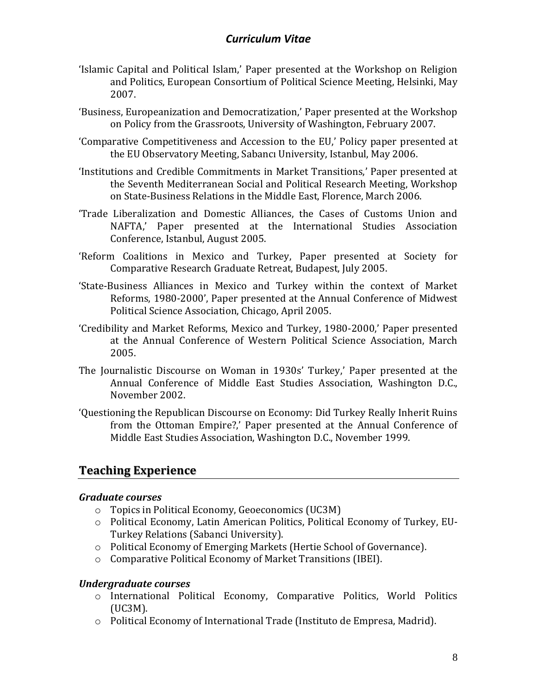- 'Islamic Capital and Political Islam,' Paper presented at the Workshop on Religion and Politics, European Consortium of Political Science Meeting, Helsinki, May 2007.
- 'Business, Europeanization and Democratization,' Paper presented at the Workshop on Policy from the Grassroots, University of Washington, February 2007.
- 'Comparative Competitiveness and Accession to the EU,' Policy paper presented at the EU Observatory Meeting, Sabancı University, Istanbul, May 2006.
- 'Institutions and Credible Commitments in Market Transitions,' Paper presented at the Seventh Mediterranean Social and Political Research Meeting, Workshop on State-Business Relations in the Middle East, Florence, March 2006.
- 'Trade Liberalization and Domestic Alliances, the Cases of Customs Union and NAFTA,' Paper presented at the International Studies Association Conference, Istanbul, August 2005.
- 'Reform Coalitions in Mexico and Turkey, Paper presented at Society for Comparative Research Graduate Retreat, Budapest, July 2005.
- 'State-Business Alliances in Mexico and Turkey within the context of Market Reforms, 1980-2000', Paper presented at the Annual Conference of Midwest Political Science Association, Chicago, April 2005.
- 'Credibility and Market Reforms, Mexico and Turkey, 1980-2000,' Paper presented at the Annual Conference of Western Political Science Association, March 2005.
- The Journalistic Discourse on Woman in 1930s' Turkey,' Paper presented at the Annual Conference of Middle East Studies Association, Washington D.C., November 2002.
- 'Questioning the Republican Discourse on Economy: Did Turkey Really Inherit Ruins from the Ottoman Empire?,' Paper presented at the Annual Conference of Middle East Studies Association, Washington D.C., November 1999.

# **Teaching Experience**

#### *Graduate courses*

- o Topics in Political Economy, Geoeconomics (UC3M)
- o Political Economy, Latin American Politics, Political Economy of Turkey, EU-Turkey Relations (Sabanci University).
- o Political Economy of Emerging Markets (Hertie School of Governance).
- o Comparative Political Economy of Market Transitions (IBEI).

#### *Undergraduate courses*

- o International Political Economy, Comparative Politics, World Politics (UC3M).
- o Political Economy of International Trade (Instituto de Empresa, Madrid).